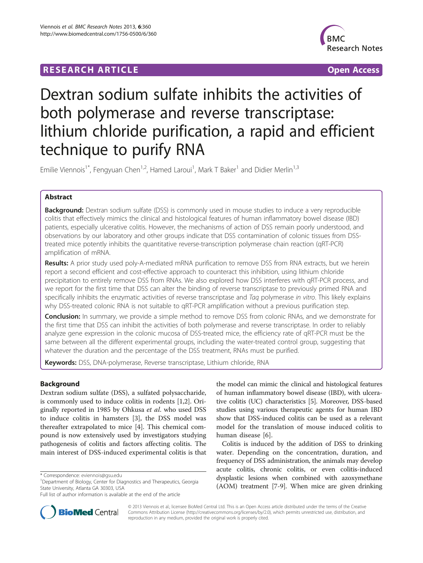## **RESEARCH ARTICLE Example 2018 12:00 Department of the CONNECTION CONNECTION CONNECTION CONNECTION**



# Dextran sodium sulfate inhibits the activities of both polymerase and reverse transcriptase: lithium chloride purification, a rapid and efficient technique to purify RNA

Emilie Viennois<sup>1\*</sup>, Fengyuan Chen<sup>1,2</sup>, Hamed Laroui<sup>1</sup>, Mark T Baker<sup>1</sup> and Didier Merlin<sup>1,3</sup>

## Abstract

**Background:** Dextran sodium sulfate (DSS) is commonly used in mouse studies to induce a very reproducible colitis that effectively mimics the clinical and histological features of human inflammatory bowel disease (IBD) patients, especially ulcerative colitis. However, the mechanisms of action of DSS remain poorly understood, and observations by our laboratory and other groups indicate that DSS contamination of colonic tissues from DSStreated mice potently inhibits the quantitative reverse-transcription polymerase chain reaction (qRT-PCR) amplification of mRNA.

Results: A prior study used poly-A-mediated mRNA purification to remove DSS from RNA extracts, but we herein report a second efficient and cost-effective approach to counteract this inhibition, using lithium chloride precipitation to entirely remove DSS from RNAs. We also explored how DSS interferes with qRT-PCR process, and we report for the first time that DSS can alter the binding of reverse transcriptase to previously primed RNA and specifically inhibits the enzymatic activities of reverse transcriptase and Taq polymerase in vitro. This likely explains why DSS-treated colonic RNA is not suitable to qRT-PCR amplification without a previous purification step.

**Conclusion:** In summary, we provide a simple method to remove DSS from colonic RNAs, and we demonstrate for the first time that DSS can inhibit the activities of both polymerase and reverse transcriptase. In order to reliably analyze gene expression in the colonic mucosa of DSS-treated mice, the efficiency rate of qRT-PCR must be the same between all the different experimental groups, including the water-treated control group, suggesting that whatever the duration and the percentage of the DSS treatment, RNAs must be purified.

Keywords: DSS, DNA-polymerase, Reverse transcriptase, Lithium chloride, RNA

## Background

Dextran sodium sulfate (DSS), a sulfated polysaccharide, is commonly used to induce colitis in rodents [[1](#page-7-0),[2\]](#page-7-0). Originally reported in 1985 by Ohkusa et al. who used DSS to induce colitis in hamsters [[3](#page-7-0)], the DSS model was thereafter extrapolated to mice [\[4](#page-7-0)]. This chemical compound is now extensively used by investigators studying pathogenesis of colitis and factors affecting colitis. The main interest of DSS-induced experimental colitis is that

the model can mimic the clinical and histological features of human inflammatory bowel disease (IBD), with ulcerative colitis (UC) characteristics [\[5](#page-7-0)]. Moreover, DSS-based studies using various therapeutic agents for human IBD show that DSS-induced colitis can be used as a relevant model for the translation of mouse induced colitis to human disease [[6\]](#page-7-0).

Colitis is induced by the addition of DSS to drinking water. Depending on the concentration, duration, and frequency of DSS administration, the animals may develop acute colitis, chronic colitis, or even colitis-induced dysplastic lesions when combined with azoxymethane (AOM) treatment [\[7-9](#page-7-0)]. When mice are given drinking



© 2013 Viennois et al.; licensee BioMed Central Ltd. This is an Open Access article distributed under the terms of the Creative Commons Attribution License [\(http://creativecommons.org/licenses/by/2.0\)](http://creativecommons.org/licenses/by/2.0), which permits unrestricted use, distribution, and reproduction in any medium, provided the original work is properly cited.

<sup>\*</sup> Correspondence: [eviennois@gsu.edu](mailto:eviennois@gsu.edu) <sup>1</sup>

<sup>&</sup>lt;sup>1</sup>Department of Biology, Center for Diagnostics and Therapeutics, Georgia State University, Atlanta GA 30303, USA

Full list of author information is available at the end of the article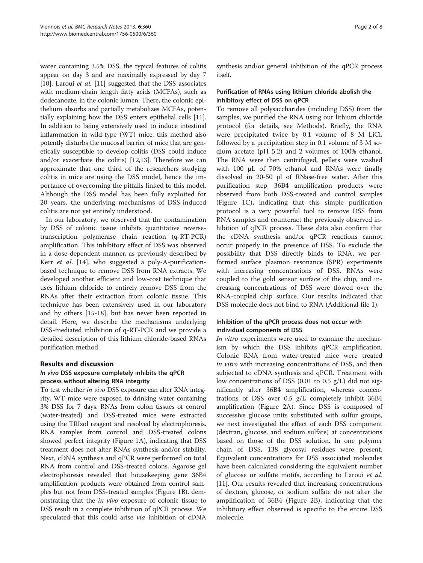water containing 3.5% DSS, the typical features of colitis appear on day 3 and are maximally expressed by day 7 [[10](#page-7-0)]. Laroui et al. [\[11\]](#page-7-0) suggested that the DSS associates with medium-chain length fatty acids (MCFAs), such as dodecanoate, in the colonic lumen. There, the colonic epithelium absorbs and partially metabolizes MCFAs, potentially explaining how the DSS enters epithelial cells [[11](#page-7-0)]. In addition to being extensively used to induce intestinal inflammation in wild-type (WT) mice, this method also potently disturbs the mucosal barrier of mice that are genetically susceptible to develop colitis (DSS could induce and/or exacerbate the colitis) [\[12,13](#page-7-0)]. Therefore we can approximate that one third of the researchers studying colitis in mice are using the DSS model, hence the importance of overcoming the pitfalls linked to this model. Although the DSS model has been fully exploited for 20 years, the underlying mechanisms of DSS-induced colitis are not yet entirely understood.

In our laboratory, we observed that the contamination by DSS of colonic tissue inhibits quantitative reversetranscription polymerase chain reaction (q-RT-PCR) amplification. This inhibitory effect of DSS was observed in a dose-dependent manner, as previously described by Kerr *et al.* [\[14](#page-7-0)], who suggested a poly-A-purificationbased technique to remove DSS from RNA extracts. We developed another efficient and low-cost technique that uses lithium chloride to entirely remove DSS from the RNAs after their extraction from colonic tissue. This technique has been extensively used in our laboratory and by others [\[15](#page-7-0)-[18](#page-7-0)], but has never been reported in detail. Here, we describe the mechanisms underlying DSS-mediated inhibition of q-RT-PCR and we provide a detailed description of this lithium chloride-based RNAs purification method.

## Results and discussion

## In vivo DSS exposure completely inhibits the qPCR process without altering RNA integrity

To test whether in vivo DSS exposure can alter RNA integrity, WT mice were exposed to drinking water containing 3% DSS for 7 days. RNAs from colon tissues of control (water-treated) and DSS-treated mice were extracted using the TRIzol reagent and resolved by electrophoresis. RNA samples from control and DSS-treated colons showed perfect integrity (Figure [1](#page-2-0)A), indicating that DSS treatment does not alter RNAs synthesis and/or stability. Next, cDNA synthesis and qPCR were performed on total RNA from control and DSS-treated colons. Agarose gel electrophoresis revealed that housekeeping gene 36B4 amplification products were obtained from control samples but not from DSS-treated samples (Figure [1](#page-2-0)B), demonstrating that the in vivo exposure of colonic tissue to DSS result in a complete inhibition of qPCR process. We speculated that this could arise via inhibition of cDNA synthesis and/or general inhibition of the qPCR process itself.

## Purification of RNAs using lithium chloride abolish the inhibitory effect of DSS on qPCR

To remove all polysaccharides (including DSS) from the samples, we purified the RNA using our lithium chloride protocol (for details, see [Methods](#page-5-0)). Briefly, the RNA were precipitated twice by 0.1 volume of 8 M LiCl, followed by a precipitation step in 0.1 volume of 3 M sodium acetate (pH 5.2) and 2 volumes of 100% ethanol. The RNA were then centrifuged, pellets were washed with 100 μL of 70% ethanol and RNAs were finally dissolved in 20-50 μl of RNase-free water. After this purification step, 36B4 amplification products were observed from both DSS-treated and control samples (Figure [1C](#page-2-0)), indicating that this simple purification protocol is a very powerful tool to remove DSS from RNA samples and counteract the previously observed inhibition of qPCR process. These data also confirm that the cDNA synthesis and/or qPCR reactions cannot occur properly in the presence of DSS. To exclude the possibility that DSS directly binds to RNA, we performed surface plasmon resonance (SPR) experiments with increasing concentrations of DSS. RNAs were coupled to the gold sensor surface of the chip, and increasing concentrations of DSS were flowed over the RNA-coupled chip surface. Our results indicated that DSS molecule does not bind to RNA (Additional file [1](#page-6-0)).

## Inhibition of the qPCR process does not occur with individual components of DSS

In vitro experiments were used to examine the mechanism by which the DSS inhibits qPCR amplification. Colonic RNA from water-treated mice were treated in vitro with increasing concentrations of DSS, and then subjected to cDNA synthesis and qPCR. Treatment with low concentrations of DSS (0.01 to 0.5 g/L) did not significantly alter 36B4 amplification, whereas concentrations of DSS over 0.5 g/L completely inhibit 36B4 amplification (Figure [2](#page-3-0)A). Since DSS is composed of successive glucose units substituted with sulfur groups, we next investigated the effect of each DSS component (dextran, glucose, and sodium sulfate) at concentrations based on those of the DSS solution. In one polymer chain of DSS, 138 glycosyl residues were present. Equivalent concentrations for DSS associated molecules have been calculated considering the equivalent number of glucose or sulfate motifs, according to Laroui et al. [[11\]](#page-7-0). Our results revealed that increasing concentrations of dextran, glucose, or sodium sulfate do not alter the amplification of 36B4 (Figure [2B](#page-3-0)), indicating that the inhibitory effect observed is specific to the entire DSS molecule.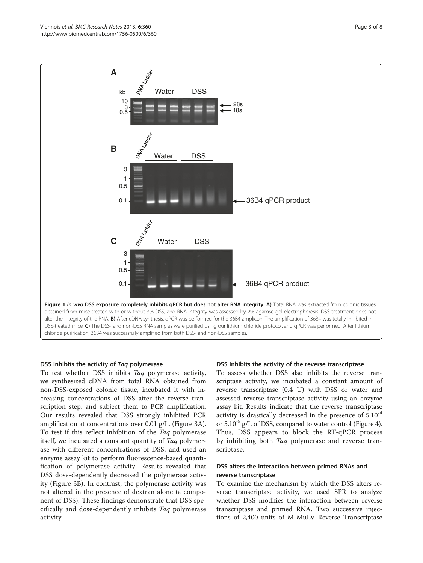<span id="page-2-0"></span>

#### DSS inhibits the activity of Taq polymerase

To test whether DSS inhibits Taq polymerase activity, we synthesized cDNA from total RNA obtained from non-DSS-exposed colonic tissue, incubated it with increasing concentrations of DSS after the reverse transcription step, and subject them to PCR amplification. Our results revealed that DSS strongly inhibited PCR amplification at concentrations over 0.01 g/L. (Figure [3](#page-4-0)A). To test if this reflect inhibition of the Taq polymerase itself, we incubated a constant quantity of Taq polymerase with different concentrations of DSS, and used an enzyme assay kit to perform fluorescence-based quantification of polymerase activity. Results revealed that DSS dose-dependently decreased the polymerase activity (Figure [3](#page-4-0)B). In contrast, the polymerase activity was not altered in the presence of dextran alone (a component of DSS). These findings demonstrate that DSS specifically and dose-dependently inhibits Taq polymerase activity.

## DSS inhibits the activity of the reverse transcriptase

To assess whether DSS also inhibits the reverse transcriptase activity, we incubated a constant amount of reverse transcriptase (0.4 U) with DSS or water and assessed reverse transcriptase activity using an enzyme assay kit. Results indicate that the reverse transcriptase activity is drastically decreased in the presence of 5.10-4 or  $5.10^{-5}$  g/L of DSS, compared to water control (Figure [4](#page-4-0)). Thus, DSS appears to block the RT-qPCR process by inhibiting both Taq polymerase and reverse transcriptase.

### DSS alters the interaction between primed RNAs and reverse transcriptase

To examine the mechanism by which the DSS alters reverse transcriptase activity, we used SPR to analyze whether DSS modifies the interaction between reverse transcriptase and primed RNA. Two successive injections of 2,400 units of M-MuLV Reverse Transcriptase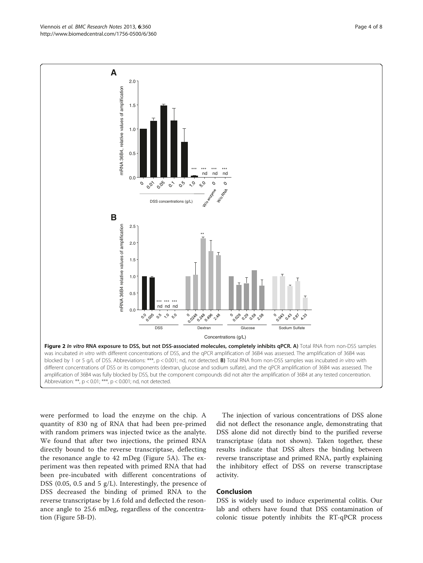were performed to load the enzyme on the chip. A quantity of 830 ng of RNA that had been pre-primed with random primers was injected twice as the analyte. We found that after two injections, the primed RNA directly bound to the reverse transcriptase, deflecting the resonance angle to 42 mDeg (Figure [5](#page-5-0)A). The experiment was then repeated with primed RNA that had been pre-incubated with different concentrations of DSS (0.05, 0.5 and 5 g/L). Interestingly, the presence of DSS decreased the binding of primed RNA to the reverse transcriptase by 1.6 fold and deflected the resonance angle to 25.6 mDeg, regardless of the concentration (Figure [5](#page-5-0)B-D).

The injection of various concentrations of DSS alone did not deflect the resonance angle, demonstrating that DSS alone did not directly bind to the purified reverse transcriptase (data not shown). Taken together, these results indicate that DSS alters the binding between reverse transcriptase and primed RNA, partly explaining the inhibitory effect of DSS on reverse transcriptase activity.

## Conclusion

DSS is widely used to induce experimental colitis. Our lab and others have found that DSS contamination of colonic tissue potently inhibits the RT-qPCR process

<span id="page-3-0"></span>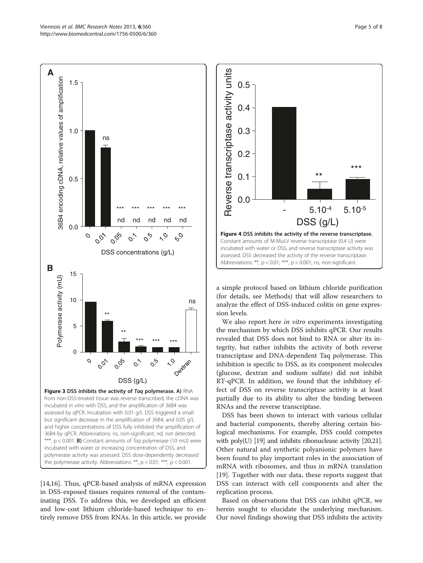<span id="page-4-0"></span>

[[14,16\]](#page-7-0). Thus, qPCR-based analysis of mRNA expression in DSS-exposed tissues requires removal of the contaminating DSS. To address this, we developed an efficient and low-cost lithium chloride-based technique to entirely remove DSS from RNAs. In this article, we provide



a simple protocol based on lithium chloride purification (for details, see [Methods\)](#page-5-0) that will allow researchers to analyze the effect of DSS-induced colitis on gene expression levels.

We also report here *in vitro* experiments investigating the mechanism by which DSS inhibits qPCR. Our results revealed that DSS does not bind to RNA or alter its integrity, but rather inhibits the activity of both reverse transcriptase and DNA-dependent Taq polymerase. This inhibition is specific to DSS, as its component molecules (glucose, dextran and sodium sulfate) did not inhibit RT-qPCR. In addition, we found that the inhibitory effect of DSS on reverse transcriptase activity is at least partially due to its ability to alter the binding between RNAs and the reverse transcriptase.

DSS has been shown to interact with various cellular and bacterial components, thereby altering certain biological mechanisms. For example, DSS could competes with poly(U) [\[19](#page-7-0)] and inhibits ribonuclease activity [[20,21](#page-7-0)]. Other natural and synthetic polyanionic polymers have been found to play important roles in the association of mRNA with ribosomes, and thus in mRNA translation [[19\]](#page-7-0). Together with our data, these reports suggest that DSS can interact with cell components and alter the replication process.

Based on observations that DSS can inhibit qPCR, we herein sought to elucidate the underlying mechanism. Our novel findings showing that DSS inhibits the activity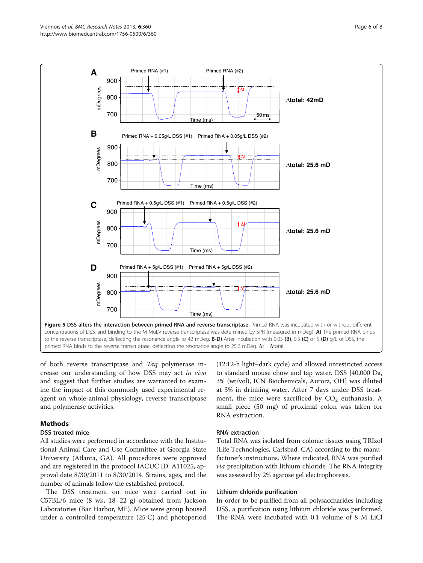<span id="page-5-0"></span>

of both reverse transcriptase and Taq polymerase increase our understanding of how DSS may act in vivo and suggest that further studies are warranted to examine the impact of this commonly used experimental reagent on whole-animal physiology, reverse transcriptase and polymerase activities.

## Methods

#### DSS treated mice

All studies were performed in accordance with the Institutional Animal Care and Use Committee at Georgia State University (Atlanta, GA). All procedures were approved and are registered in the protocol IACUC ID: A11025, approval date 8/30/2011 to 8/30/2014. Strains, ages, and the number of animals follow the established protocol.

The DSS treatment on mice were carried out in C57BL/6 mice (8 wk, 18–22 g) obtained from Jackson Laboratories (Bar Harbor, ME). Mice were group housed under a controlled temperature (25°C) and photoperiod

(12:12-h light–dark cycle) and allowed unrestricted access to standard mouse chow and tap water. DSS [40,000 Da, 3% (wt/vol), ICN Biochemicals, Aurora, OH] was diluted at 3% in drinking water. After 7 days under DSS treatment, the mice were sacrificed by  $CO<sub>2</sub>$  euthanasia. A small piece (50 mg) of proximal colon was taken for RNA extraction.

#### RNA extraction

Total RNA was isolated from colonic tissues using TRIzol (Life Technologies, Carlsbad, CA) according to the manufacturer's instructions. Where indicated, RNA was purified *via* precipitation with lithium chloride. The RNA integrity was assessed by 2% agarose gel electrophoresis.

#### Lithium chloride purification

In order to be purified from all polysaccharides including DSS, a purification using lithium chloride was performed. The RNA were incubated with 0.1 volume of 8 M LiCl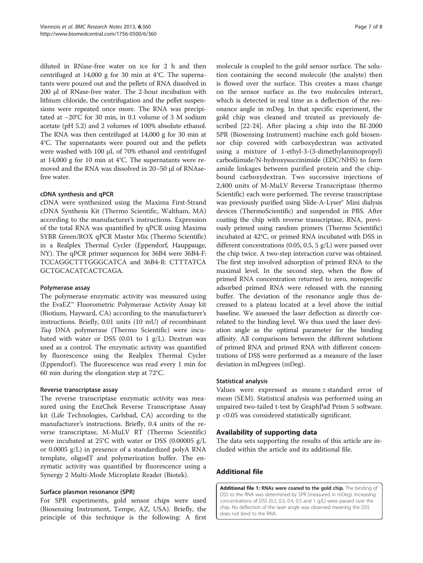<span id="page-6-0"></span>diluted in RNase-free water on ice for 2 h and then centrifuged at 14,000 g for 30 min at 4°C. The supernatants were poured out and the pellets of RNA dissolved in 200 μl of RNase-free water. The 2-hour incubation with lithium chloride, the centrifugation and the pellet suspensions were repeated once more. The RNA was precipitated at −20°C for 30 min, in 0.1 volume of 3 M sodium acetate (pH 5.2) and 2 volumes of 100% absolute ethanol. The RNA was then centrifuged at 14,000 g for 30 min at 4°C. The supernatants were poured out and the pellets were washed with 100 μL of 70% ethanol and centrifuged at 14,000 g for 10 min at 4°C. The supernatants were removed and the RNA was dissolved in 20–50 μl of RNAsefree water.

#### cDNA synthesis and qPCR

cDNA were synthesized using the Maxima First-Strand cDNA Synthesis Kit (Thermo Scientific, Waltham, MA) according to the manufacturer's instructions. Expression of the total RNA was quantified by qPCR using Maxima SYBR Green/ROX qPCR Master Mix (Thermo Scientific) in a Realplex Thermal Cycler (Eppendorf, Hauppauge, NY). The qPCR primer sequences for 36B4 were 36B4-F: TCCAGGCTTTGGGCATCA and 36B4-R: CTTTATCA GCTGCACATCACTCAGA.

### Polymerase assay

The polymerase enzymatic activity was measured using the EvaEZ™ Fluorometric Polymerase Activity Assay kit (Biotium, Hayward, CA) according to the manufacturer's instructions. Briefly, 0.01 units (10 mU) of recombinant Taq DNA polymerase (Thermo Scientific) were incubated with water or DSS  $(0.01$  to 1  $g/L$ ). Dextran was used as a control. The enzymatic activity was quantified by fluorescence using the Realplex Thermal Cycler (Eppendorf). The fluorescence was read every  $1$  min for 60 min during the elongation step at 72°C.

#### Reverse transcriptase assay

The reverse transcriptase enzymatic activity was measured using the EnzChek Reverse Transcriptase Assay kit (Life Technologies, Carlsbad, CA) according to the manufacturer's instructions. Briefly, 0.4 units of the reverse transcriptase, M-MuLV RT (Thermo Scientific) were incubated at 25°C with water or DSS (0.00005 g/L or 0.0005 g/L) in presence of a standardized polyA RNA template, oligodT and polymerization buffer. The enzymatic activity was quantified by fluorescence using a Synergy 2 Multi-Mode Microplate Reader (Biotek).

## Surface plasmon resonance (SPR)

For SPR experiments, gold sensor chips were used (Biosensing Instrument, Tempe, AZ, USA). Briefly, the principle of this technique is the following: A first

molecule is coupled to the gold sensor surface. The solution containing the second molecule (the analyte) then is flowed over the surface. This creates a mass change on the sensor surface as the two molecules interact, which is detected in real time as a deflection of the resonance angle in mDeg. In that specific experiment, the gold chip was cleaned and treated as previously described [[22-24](#page-7-0)]. After placing a chip into the BI-2000 SPR (Biosensing Instrument) machine each gold biosensor chip covered with carboxydextran was activated using a mixture of 1-ethyl-3-(3-dimethylaminopropyl) carbodiimide/N-hydroxysuccinimide (EDC/NHS) to form amide linkages between purified protein and the chipbound carboxydextran. Two successive injections of 2,400 units of M-MuLV Reverse Transcriptase (thermo Scientific) each were performed. The reverse transcriptase was previously purified using Slide-A-Lyser® Mini dialysis devices (ThermoScientific) and suspended in PBS. After coating the chip with reverse transcriptase, RNA, previously primed using random primers (Thermo Scientific) incubated at 42°C, or primed RNA incubated with DSS in different concentrations (0.05, 0.5, 5 g/L) were passed over the chip twice. A two-step interaction curve was obtained. The first step involved adsorption of primed RNA to the maximal level. In the second step, when the flow of primed RNA concentration returned to zero, nonspecific adsorbed primed RNA were released with the running buffer. The deviation of the resonance angle thus decreased to a plateau located at a level above the initial baseline. We assessed the laser deflection as directly correlated to the binding level. We thus used the laser deviation angle as the optimal parameter for the binding affinity. All comparisons between the different solutions of primed RNA and primed RNA with different concentrations of DSS were performed as a measure of the laser deviation in mDegrees (mDeg).

#### Statistical analysis

Values were expressed as means ± standard error of mean (SEM). Statistical analysis was performed using an unpaired two-tailed t-test by GraphPad Prism 5 software. p <0.05 was considered statistically significant.

## Availability of supporting data

The data sets supporting the results of this article are included within the article and its additional file.

## Additional file

[Additional file 1:](http://www.biomedcentral.com/content/supplementary/1756-0500-6-360-S1.pdf) RNAs were coated to the gold chip. The binding of DSS to the RNA was determined by SPR (measured in mDeg). Increasing concentrations of DSS (0.2, 0.3, 0.4, 0.5 and 1 g/L) were passed over the chip. No deflection of the laser angle was observed meaning the DSS does not bind to the RNA